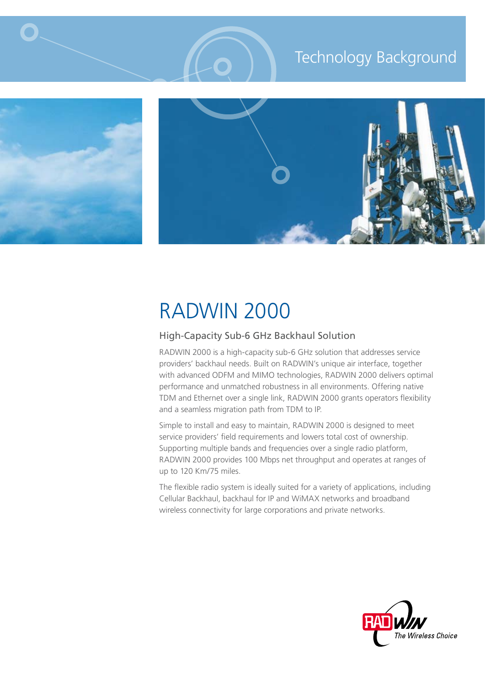# Technology Background



 $\bigcirc$ 



# RADWIN 2000

# High-Capacity Sub-6 GHz Backhaul Solution

RADWIN 2000 is a high-capacity sub-6 GHz solution that addresses service providers' backhaul needs. Built on RADWIN's unique air interface, together with advanced ODFM and MIMO technologies, RADWIN 2000 delivers optimal performance and unmatched robustness in all environments. Offering native TDM and Ethernet over a single link, RADWIN 2000 grants operators flexibility and a seamless migration path from TDM to IP.

Simple to install and easy to maintain, RADWIN 2000 is designed to meet service providers' field requirements and lowers total cost of ownership. Supporting multiple bands and frequencies over a single radio platform, RADWIN 2000 provides 100 Mbps net throughput and operates at ranges of up to 120 Km/75 miles.

The flexible radio system is ideally suited for a variety of applications, including Cellular Backhaul, backhaul for IP and WiMAX networks and broadband wireless connectivity for large corporations and private networks.

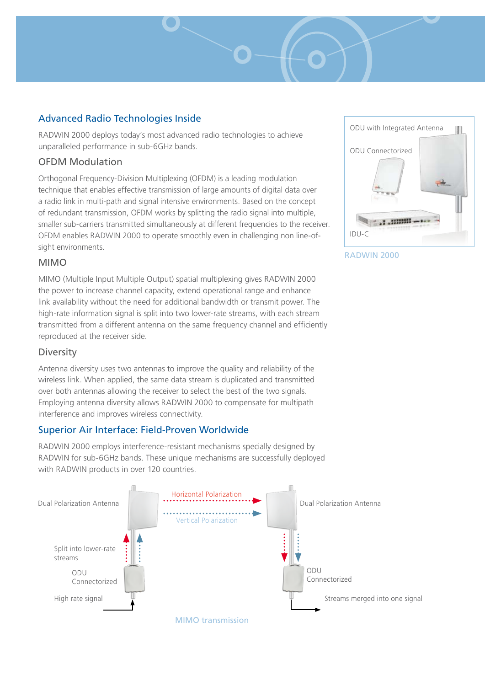# Advanced Radio Technologies Inside

RADWIN 2000 deploys today's most advanced radio technologies to achieve unparalleled performance in sub-6GHz bands.

### OFDM Modulation

Orthogonal Frequency-Division Multiplexing (OFDM) is a leading modulation technique that enables effective transmission of large amounts of digital data over a radio link in multi-path and signal intensive environments. Based on the concept of redundant transmission, OFDM works by splitting the radio signal into multiple, smaller sub-carriers transmitted simultaneously at different frequencies to the receiver. OFDM enables RADWIN 2000 to operate smoothly even in challenging non line-ofsight environments.

## MIMO

MIMO (Multiple Input Multiple Output) spatial multiplexing gives RADWIN 2000 the power to increase channel capacity, extend operational range and enhance link availability without the need for additional bandwidth or transmit power. The high-rate information signal is split into two lower-rate streams, with each stream transmitted from a different antenna on the same frequency channel and efficiently reproduced at the receiver side.

# **Diversity**

Antenna diversity uses two antennas to improve the quality and reliability of the wireless link. When applied, the same data stream is duplicated and transmitted over both antennas allowing the receiver to select the best of the two signals. Employing antenna diversity allows RADWIN 2000 to compensate for multipath interference and improves wireless connectivity.

# Superior Air Interface: Field-Proven Worldwide

RADWIN 2000 employs interference-resistant mechanisms specially designed by RADWIN for sub-6GHz bands. These unique mechanisms are successfully deployed with RADWIN products in over 120 countries.





#### RADWIN 2000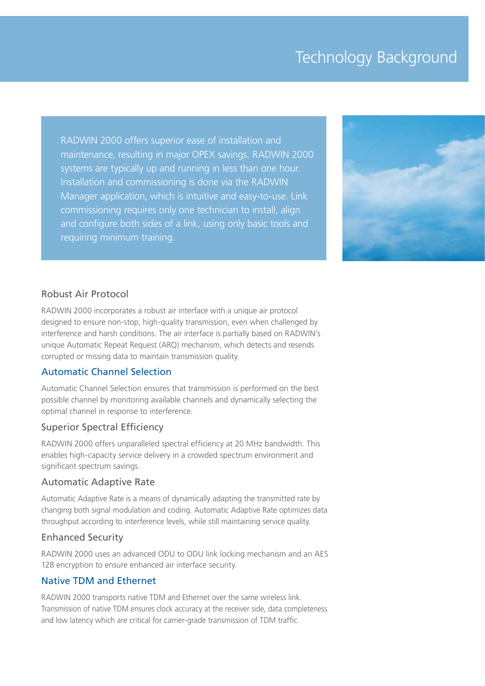# Technology Background

RADWIN 2000 offers superior ease of installation and maintenance, resulting in major OPEX savings. RADWIN 2000 systems are typically up and running in less than one hour. Installation and commissioning is done via the RADWIN Manager application, which is intuitive and easy-to-use. Link commissioning requires only one technician to install, align and configure both sides of a link, using only basic tools and requiring minimum training.



#### Robust Air Protocol

RADWIN 2000 incorporates a robust air interface with a unique air protocol designed to ensure non-stop, high-quality transmission, even when challenged by interference and harsh conditions. The air interface is partially based on RADWIN's unique Automatic Repeat Request (ARQ) mechanism, which detects and resends corrupted or missing data to maintain transmission quality.

#### Automatic Channel Selection

Automatic Channel Selection ensures that transmission is performed on the best possible channel by monitoring available channels and dynamically selecting the optimal channel in response to interference.

#### Superior Spectral Efficiency

RADWIN 2000 offers unparalleled spectral efficiency at 20 MHz bandwidth. This enables high-capacity service delivery in a crowded spectrum environment and significant spectrum savings.

#### Automatic Adaptive Rate

Automatic Adaptive Rate is a means of dynamically adapting the transmitted rate by changing both signal modulation and coding. Automatic Adaptive Rate optimizes data throughput according to interference levels, while still maintaining service quality.

#### Enhanced Security

RADWIN 2000 uses an advanced ODU to ODU link locking mechanism and an AES 128 encryption to ensure enhanced air interface security.

#### Native TDM and Ethernet

RADWIN 2000 transports native TDM and Ethernet over the same wireless link. Transmission of native TDM ensures clock accuracy at the receiver side, data completeness and low latency which are critical for carrier-grade transmission of TDM traffic.